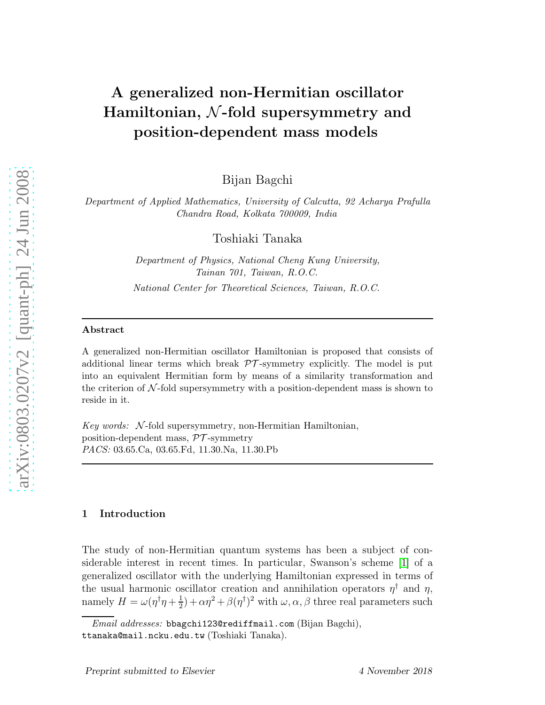# A generalized non-Hermitian oscillator Hamiltonian, N-fold supersymmetry and position-dependent mass models

Bijan Bagchi

*Department of Applied Mathematics, University of Calcutta, 92 Acharya Prafulla Chandra Road, Kolkata 700009, India*

Toshiaki Tanaka

*Department of Physics, National Cheng Kung University, Tainan 701, Taiwan, R.O.C.*

*National Center for Theoretical Sciences, Taiwan, R.O.C.*

#### Abstract

A generalized non-Hermitian oscillator Hamiltonian is proposed that consists of additional linear terms which break  $\mathcal{PT}$ -symmetry explicitly. The model is put into an equivalent Hermitian form by means of a similarity transformation and the criterion of  $N$ -fold supersymmetry with a position-dependent mass is shown to reside in it.

*Key words:* N-fold supersymmetry, non-Hermitian Hamiltonian, position-dependent mass,  $\mathcal{PT}$ -symmetry *PACS:* 03.65.Ca, 03.65.Fd, 11.30.Na, 11.30.Pb

#### 1 Introduction

The study of non-Hermitian quantum systems has been a subject of considerable interest in recent times. In particular, Swanson's scheme [\[1\]](#page-7-0) of a generalized oscillator with the underlying Hamiltonian expressed in terms of the usual harmonic oscillator creation and annihilation operators  $\eta^{\dagger}$  and  $\eta$ , namely  $H = \omega(\eta^{\dagger}\eta + \frac{1}{2})$  $(\frac{1}{2}) + \alpha \eta^2 + \beta(\eta^{\dagger})^2$  with  $\omega, \alpha, \beta$  three real parameters such

*Email addresses:* bbagchi123@rediffmail.com (Bijan Bagchi), ttanaka@mail.ncku.edu.tw (Toshiaki Tanaka).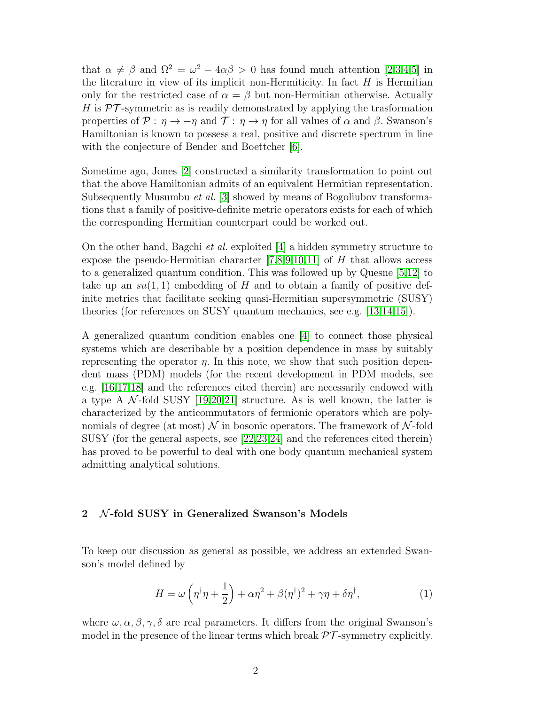that  $\alpha \neq \beta$  and  $\Omega^2 = \omega^2 - 4\alpha\beta > 0$  has found much attention [\[2](#page-7-1)[,3](#page-7-2)[,4,](#page-7-3)[5\]](#page-7-4) in the literature in view of its implicit non-Hermiticity. In fact  $H$  is Hermitian only for the restricted case of  $\alpha = \beta$  but non-Hermitian otherwise. Actually H is  $\mathcal{PT}$ -symmetric as is readily demonstrated by applying the trasformation properties of  $P : \eta \to -\eta$  and  $\mathcal{T} : \eta \to \eta$  for all values of  $\alpha$  and  $\beta$ . Swanson's Hamiltonian is known to possess a real, positive and discrete spectrum in line with the conjecture of Bender and Boettcher [\[6\]](#page-7-5).

Sometime ago, Jones [\[2\]](#page-7-1) constructed a similarity transformation to point out that the above Hamiltonian admits of an equivalent Hermitian representation. Subsequently Musumbu *et al.* [\[3\]](#page-7-2) showed by means of Bogoliubov transformations that a family of positive-definite metric operators exists for each of which the corresponding Hermitian counterpart could be worked out.

On the other hand, Bagchi *et al.* exploited  $[4]$  a hidden symmetry structure to expose the pseudo-Hermitian character  $[7,8,9,10,11]$  $[7,8,9,10,11]$  $[7,8,9,10,11]$  $[7,8,9,10,11]$  $[7,8,9,10,11]$  of H that allows access to a generalized quantum condition. This was followed up by Quesne [\[5,](#page-7-4)[12\]](#page-7-11) to take up an  $su(1,1)$  embedding of H and to obtain a family of positive definite metrics that facilitate seeking quasi-Hermitian supersymmetric (SUSY) theories (for references on SUSY quantum mechanics, see e.g. [\[13](#page-7-12)[,14](#page-7-13)[,15\]](#page-7-14)).

A generalized quantum condition enables one [\[4\]](#page-7-3) to connect those physical systems which are describable by a position dependence in mass by suitably representing the operator  $\eta$ . In this note, we show that such position dependent mass (PDM) models (for the recent development in PDM models, see e.g. [\[16,](#page-7-15)[17,](#page-7-16)[18\]](#page-7-17) and the references cited therein) are necessarily endowed with a type A  $\mathcal{N}$ -fold SUSY [\[19](#page-7-18)[,20](#page-7-19)[,21\]](#page-7-20) structure. As is well known, the latter is characterized by the anticommutators of fermionic operators which are polynomials of degree (at most)  $\mathcal N$  in bosonic operators. The framework of  $\mathcal N$ -fold SUSY (for the general aspects, see [\[22,](#page-8-0)[23,](#page-8-1)[24\]](#page-8-2) and the references cited therein) has proved to be powerful to deal with one body quantum mechanical system admitting analytical solutions.

## 2 N-fold SUSY in Generalized Swanson's Models

To keep our discussion as general as possible, we address an extended Swanson's model defined by

$$
H = \omega \left( \eta^{\dagger} \eta + \frac{1}{2} \right) + \alpha \eta^2 + \beta (\eta^{\dagger})^2 + \gamma \eta + \delta \eta^{\dagger}, \tag{1}
$$

where  $\omega, \alpha, \beta, \gamma, \delta$  are real parameters. It differs from the original Swanson's model in the presence of the linear terms which break  $\mathcal{PT}$ -symmetry explicitly.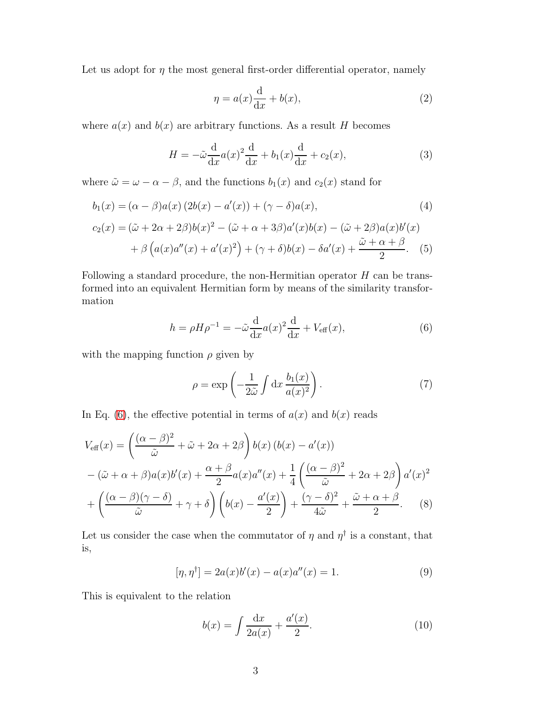Let us adopt for  $\eta$  the most general first-order differential operator, namely

$$
\eta = a(x)\frac{d}{dx} + b(x),\tag{2}
$$

where  $a(x)$  and  $b(x)$  are arbitrary functions. As a result H becomes

$$
H = -\tilde{\omega}\frac{\mathrm{d}}{\mathrm{d}x}a(x)^2\frac{\mathrm{d}}{\mathrm{d}x} + b_1(x)\frac{\mathrm{d}}{\mathrm{d}x} + c_2(x),\tag{3}
$$

where  $\tilde{\omega} = \omega - \alpha - \beta$ , and the functions  $b_1(x)$  and  $c_2(x)$  stand for

$$
b_1(x) = (\alpha - \beta)a(x) (2b(x) - a'(x)) + (\gamma - \delta)a(x),
$$
  
\n
$$
c_2(x) = (\tilde{\omega} + 2\alpha + 2\beta)b(x)^2 - (\tilde{\omega} + \alpha + 3\beta)a'(x)b(x) - (\tilde{\omega} + 2\beta)a(x)b'(x)
$$
  
\n
$$
+ \beta (a(x)a''(x) + a'(x)^2) + (\gamma + \delta)b(x) - \delta a'(x) + \frac{\tilde{\omega} + \alpha + \beta}{2}.
$$
 (5)

Following a standard procedure, the non-Hermitian operator  $H$  can be transformed into an equivalent Hermitian form by means of the similarity transformation

$$
h = \rho H \rho^{-1} = -\tilde{\omega} \frac{\mathrm{d}}{\mathrm{d}x} a(x)^2 \frac{\mathrm{d}}{\mathrm{d}x} + V_{\text{eff}}(x),\tag{6}
$$

with the mapping function  $\rho$  given by

<span id="page-2-0"></span>
$$
\rho = \exp\left(-\frac{1}{2\tilde{\omega}} \int dx \frac{b_1(x)}{a(x)^2}\right).
$$
 (7)

In Eq. [\(6\)](#page-2-0), the effective potential in terms of  $a(x)$  and  $b(x)$  reads

$$
V_{\text{eff}}(x) = \left(\frac{(\alpha - \beta)^2}{\tilde{\omega}} + \tilde{\omega} + 2\alpha + 2\beta\right) b(x) \left(b(x) - a'(x)\right)
$$

$$
- (\tilde{\omega} + \alpha + \beta)a(x)b'(x) + \frac{\alpha + \beta}{2}a(x)a''(x) + \frac{1}{4}\left(\frac{(\alpha - \beta)^2}{\tilde{\omega}} + 2\alpha + 2\beta\right)a'(x)^2
$$

$$
+ \left(\frac{(\alpha - \beta)(\gamma - \delta)}{\tilde{\omega}} + \gamma + \delta\right)\left(b(x) - \frac{a'(x)}{2}\right) + \frac{(\gamma - \delta)^2}{4\tilde{\omega}} + \frac{\tilde{\omega} + \alpha + \beta}{2}.
$$
 (8)

Let us consider the case when the commutator of  $\eta$  and  $\eta^{\dagger}$  is a constant, that is,

$$
[\eta, \eta^{\dagger}] = 2a(x)b'(x) - a(x)a''(x) = 1.
$$
 (9)

This is equivalent to the relation

<span id="page-2-2"></span><span id="page-2-1"></span>
$$
b(x) = \int \frac{dx}{2a(x)} + \frac{a'(x)}{2}.
$$
 (10)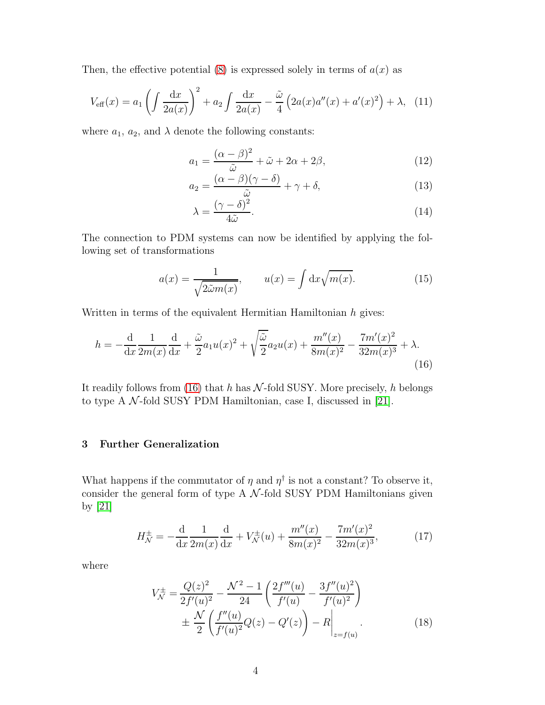Then, the effective potential [\(8\)](#page-2-1) is expressed solely in terms of  $a(x)$  as

$$
V_{\text{eff}}(x) = a_1 \left( \int \frac{\mathrm{d}x}{2a(x)} \right)^2 + a_2 \int \frac{\mathrm{d}x}{2a(x)} - \frac{\tilde{\omega}}{4} \left( 2a(x)a''(x) + a'(x)^2 \right) + \lambda, \tag{11}
$$

where  $a_1, a_2$ , and  $\lambda$  denote the following constants:

<span id="page-3-4"></span>
$$
a_1 = \frac{(\alpha - \beta)^2}{\tilde{\omega}} + \tilde{\omega} + 2\alpha + 2\beta,
$$
 (12)

$$
a_2 = \frac{(\alpha - \beta)(\gamma - \delta)}{\tilde{\omega}} + \gamma + \delta,\tag{13}
$$

<span id="page-3-2"></span>
$$
\lambda = \frac{(\gamma - \delta)^2}{4\tilde{\omega}}.\tag{14}
$$

The connection to PDM systems can now be identified by applying the following set of transformations

<span id="page-3-0"></span>
$$
a(x) = \frac{1}{\sqrt{2\tilde{\omega}m(x)}}, \qquad u(x) = \int \mathrm{d}x \sqrt{m(x)}.
$$
 (15)

Written in terms of the equivalent Hermitian Hamiltonian  $h$  gives:

$$
h = -\frac{\mathrm{d}}{\mathrm{d}x} \frac{1}{2m(x)} \frac{\mathrm{d}}{\mathrm{d}x} + \frac{\tilde{\omega}}{2} a_1 u(x)^2 + \sqrt{\frac{\tilde{\omega}}{2}} a_2 u(x) + \frac{m''(x)}{8m(x)^2} - \frac{7m'(x)^2}{32m(x)^3} + \lambda. \tag{16}
$$

It readily follows from [\(16\)](#page-3-0) that h has  $\mathcal{N}$ -fold SUSY. More precisely, h belongs to type A  $\mathcal N$ -fold SUSY PDM Hamiltonian, case I, discussed in [\[21\]](#page-7-20).

## 3 Further Generalization

What happens if the commutator of  $\eta$  and  $\eta^{\dagger}$  is not a constant? To observe it, consider the general form of type A  $N$ -fold SUSY PDM Hamiltonians given by [\[21\]](#page-7-20)

$$
H_N^{\pm} = -\frac{d}{dx} \frac{1}{2m(x)} \frac{d}{dx} + V_N^{\pm}(u) + \frac{m''(x)}{8m(x)^2} - \frac{7m'(x)^2}{32m(x)^3},\tag{17}
$$

where

<span id="page-3-3"></span><span id="page-3-1"></span>
$$
V_{\mathcal{N}}^{\pm} = \frac{Q(z)^2}{2f'(u)^2} - \frac{\mathcal{N}^2 - 1}{24} \left( \frac{2f'''(u)}{f'(u)} - \frac{3f''(u)^2}{f'(u)^2} \right)
$$
  

$$
\pm \frac{\mathcal{N}}{2} \left( \frac{f''(u)}{f'(u)^2} Q(z) - Q'(z) \right) - R \Big|_{z=f(u)}.
$$
 (18)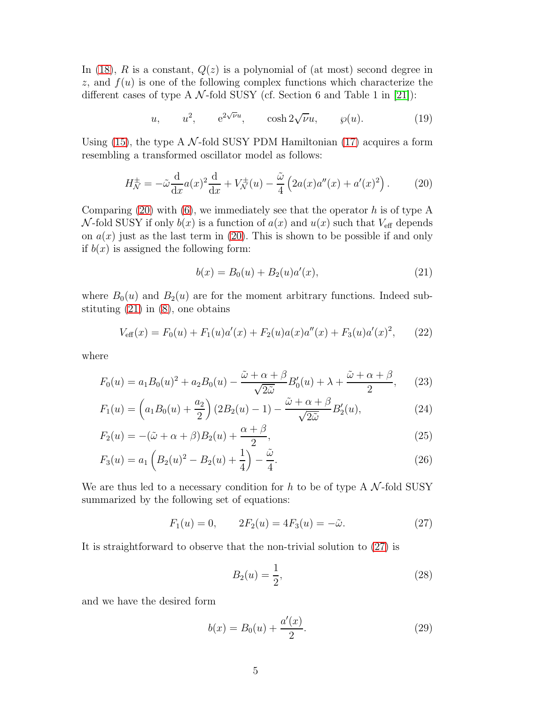In [\(18\)](#page-3-1), R is a constant,  $Q(z)$  is a polynomial of (at most) second degree in z, and  $f(u)$  is one of the following complex functions which characterize the different cases of type A  $\mathcal{N}$ -fold SUSY (cf. Section 6 and Table 1 in [\[21\]](#page-7-20)):

<span id="page-4-4"></span>
$$
u, \qquad u^2, \qquad e^{2\sqrt{\nu}u}, \qquad \cosh 2\sqrt{\nu}u, \qquad \wp(u). \tag{19}
$$

Using [\(15\)](#page-3-2), the type A  $\mathcal{N}$ -fold SUSY PDM Hamiltonian [\(17\)](#page-3-3) acquires a form resembling a transformed oscillator model as follows:

$$
H_N^{\pm} = -\tilde{\omega}\frac{d}{dx}a(x)^2\frac{d}{dx} + V_N^{\pm}(u) - \frac{\tilde{\omega}}{4}\left(2a(x)a''(x) + a'(x)^2\right). \tag{20}
$$

Comparing  $(20)$  with  $(6)$ , we immediately see that the operator h is of type A N-fold SUSY if only  $b(x)$  is a function of  $a(x)$  and  $u(x)$  such that  $V_{\text{eff}}$  depends on  $a(x)$  just as the last term in [\(20\)](#page-4-0). This is shown to be possible if and only if  $b(x)$  is assigned the following form:

<span id="page-4-1"></span><span id="page-4-0"></span>
$$
b(x) = B_0(u) + B_2(u)a'(x),
$$
\n(21)

where  $B_0(u)$  and  $B_2(u)$  are for the moment arbitrary functions. Indeed substituting  $(21)$  in  $(8)$ , one obtains

$$
V_{\text{eff}}(x) = F_0(u) + F_1(u)a'(x) + F_2(u)a(x)a''(x) + F_3(u)a'(x)^2, \qquad (22)
$$

where

$$
F_0(u) = a_1 B_0(u)^2 + a_2 B_0(u) - \frac{\tilde{\omega} + \alpha + \beta}{\sqrt{2\tilde{\omega}}} B'_0(u) + \lambda + \frac{\tilde{\omega} + \alpha + \beta}{2}, \qquad (23)
$$

$$
F_1(u) = \left(a_1 B_0(u) + \frac{a_2}{2}\right) \left(2B_2(u) - 1\right) - \frac{\tilde{\omega} + \alpha + \beta}{\sqrt{2\tilde{\omega}}} B_2'(u),\tag{24}
$$

$$
F_2(u) = -(\tilde{\omega} + \alpha + \beta)B_2(u) + \frac{\alpha + \beta}{2},\tag{25}
$$

$$
F_3(u) = a_1 \left( B_2(u)^2 - B_2(u) + \frac{1}{4} \right) - \frac{\tilde{\omega}}{4}.
$$
 (26)

We are thus led to a necessary condition for h to be of type A  $\mathcal{N}\text{-fold SUSY}$ summarized by the following set of equations:

$$
F_1(u) = 0,
$$
  $2F_2(u) = 4F_3(u) = -\tilde{\omega}.$  (27)

It is straightforward to observe that the non-trivial solution to [\(27\)](#page-4-2) is

<span id="page-4-3"></span><span id="page-4-2"></span>
$$
B_2(u) = \frac{1}{2},\tag{28}
$$

and we have the desired form

$$
b(x) = B_0(u) + \frac{a'(x)}{2}.
$$
 (29)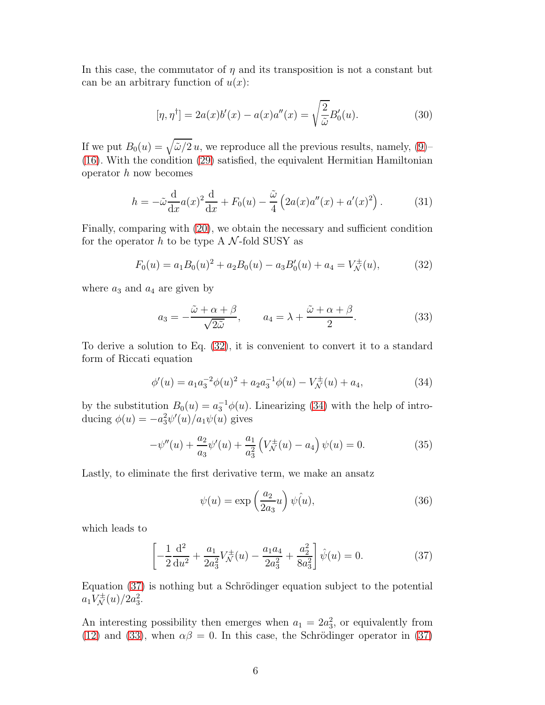In this case, the commutator of  $\eta$  and its transposition is not a constant but can be an arbitrary function of  $u(x)$ :

$$
[\eta, \eta^{\dagger}] = 2a(x)b'(x) - a(x)a''(x) = \sqrt{\frac{2}{\tilde{\omega}}}B'_0(u). \tag{30}
$$

If we put  $B_0(u) = \sqrt{\tilde{\omega}/2} u$ , we reproduce all the previous results, namely, [\(9\)](#page-2-2)-[\(16\)](#page-3-0). With the condition [\(29\)](#page-4-3) satisfied, the equivalent Hermitian Hamiltonian operator  $h$  now becomes

$$
h = -\tilde{\omega}\frac{\mathrm{d}}{\mathrm{d}x}a(x)^2\frac{\mathrm{d}}{\mathrm{d}x} + F_0(u) - \frac{\tilde{\omega}}{4}\left(2a(x)a''(x) + a'(x)^2\right). \tag{31}
$$

Finally, comparing with [\(20\)](#page-4-0), we obtain the necessary and sufficient condition for the operator h to be type A  $\mathcal{N}$ -fold SUSY as

$$
F_0(u) = a_1 B_0(u)^2 + a_2 B_0(u) - a_3 B_0'(u) + a_4 = V_N^{\pm}(u),
$$
 (32)

where  $a_3$  and  $a_4$  are given by

<span id="page-5-3"></span><span id="page-5-0"></span>
$$
a_3 = -\frac{\tilde{\omega} + \alpha + \beta}{\sqrt{2\tilde{\omega}}}, \qquad a_4 = \lambda + \frac{\tilde{\omega} + \alpha + \beta}{2}.
$$
 (33)

To derive a solution to Eq. [\(32\)](#page-5-0), it is convenient to convert it to a standard form of Riccati equation

$$
\phi'(u) = a_1 a_3^{-2} \phi(u)^2 + a_2 a_3^{-1} \phi(u) - V_N^{\pm}(u) + a_4, \tag{34}
$$

by the substitution  $B_0(u) = a_3^{-1} \phi(u)$ . Linearizing [\(34\)](#page-5-1) with the help of introducing  $\phi(u) = -a_3^2 \psi'(u)/a_1 \psi(u)$  gives

$$
-\psi''(u) + \frac{a_2}{a_3}\psi'(u) + \frac{a_1}{a_3^2}\left(V_{\mathcal{N}}^{\pm}(u) - a_4\right)\psi(u) = 0.
$$
 (35)

Lastly, to eliminate the first derivative term, we make an ansatz

<span id="page-5-2"></span><span id="page-5-1"></span>
$$
\psi(u) = \exp\left(\frac{a_2}{2a_3}u\right)\psi(u),\tag{36}
$$

which leads to

$$
\left[ -\frac{1}{2} \frac{d^2}{du^2} + \frac{a_1}{2a_3^2} V_N^{\pm}(u) - \frac{a_1 a_4}{2a_3^2} + \frac{a_2^2}{8a_3^2} \right] \hat{\psi}(u) = 0.
$$
 (37)

Equation  $(37)$  is nothing but a Schrödinger equation subject to the potential  $a_1 V_{\mathcal{N}}^{\pm}(u)/2a_3^2.$ 

An interesting possibility then emerges when  $a_1 = 2a_3^2$ , or equivalently from [\(12\)](#page-3-4) and [\(33\)](#page-5-3), when  $\alpha\beta = 0$ . In this case, the Schrödinger operator in [\(37\)](#page-5-2)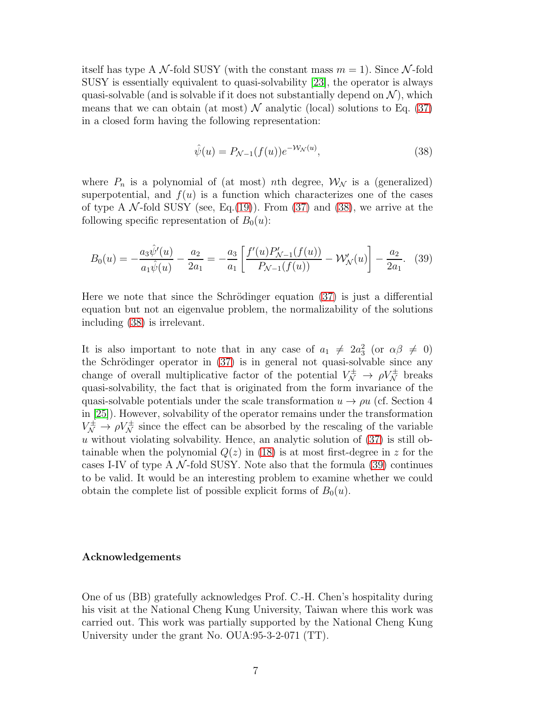itself has type A N-fold SUSY (with the constant mass  $m = 1$ ). Since N-fold SUSY is essentially equivalent to quasi-solvability [\[23\]](#page-8-1), the operator is always quasi-solvable (and is solvable if it does not substantially depend on  $\mathcal{N}$ ), which means that we can obtain (at most)  $\mathcal N$  analytic (local) solutions to Eq. [\(37\)](#page-5-2) in a closed form having the following representation:

<span id="page-6-1"></span><span id="page-6-0"></span>
$$
\hat{\psi}(u) = P_{\mathcal{N}-1}(f(u))e^{-\mathcal{W}_{\mathcal{N}}(u)},\tag{38}
$$

where  $P_n$  is a polynomial of (at most) nth degree,  $\mathcal{W}_{\mathcal{N}}$  is a (generalized) superpotential, and  $f(u)$  is a function which characterizes one of the cases of type A  $\mathcal{N}$ -fold SUSY (see, Eq.[\(19\)](#page-4-4)). From [\(37\)](#page-5-2) and [\(38\)](#page-6-0), we arrive at the following specific representation of  $B_0(u)$ :

$$
B_0(u) = -\frac{a_3 \hat{\psi}'(u)}{a_1 \hat{\psi}(u)} - \frac{a_2}{2a_1} = -\frac{a_3}{a_1} \left[ \frac{f'(u) P'_{\mathcal{N}-1}(f(u))}{P_{\mathcal{N}-1}(f(u))} - \mathcal{W}'_{\mathcal{N}}(u) \right] - \frac{a_2}{2a_1}.
$$
 (39)

Here we note that since the Schrödinger equation  $(37)$  is just a differential equation but not an eigenvalue problem, the normalizability of the solutions including [\(38\)](#page-6-0) is irrelevant.

It is also important to note that in any case of  $a_1 \neq 2a_3^2$  (or  $\alpha\beta \neq 0$ ) the Schrödinger operator in  $(37)$  is in general not quasi-solvable since any change of overall multiplicative factor of the potential  $V_N^{\pm} \to \rho V_N^{\pm}$  breaks quasi-solvability, the fact that is originated from the form invariance of the quasi-solvable potentials under the scale transformation  $u \to \rho u$  (cf. Section 4 in [\[25\]](#page-8-3)). However, solvability of the operator remains under the transformation  $V_N^{\pm} \to \rho V_N^{\pm}$  since the effect can be absorbed by the rescaling of the variable u without violating solvability. Hence, an analytic solution of  $(37)$  is still obtainable when the polynomial  $Q(z)$  in [\(18\)](#page-3-1) is at most first-degree in z for the cases I-IV of type A  $\mathcal{N}$ -fold SUSY. Note also that the formula [\(39\)](#page-6-1) continues to be valid. It would be an interesting problem to examine whether we could obtain the complete list of possible explicit forms of  $B_0(u)$ .

#### Acknowledgements

One of us (BB) gratefully acknowledges Prof. C.-H. Chen's hospitality during his visit at the National Cheng Kung University, Taiwan where this work was carried out. This work was partially supported by the National Cheng Kung University under the grant No. OUA:95-3-2-071 (TT).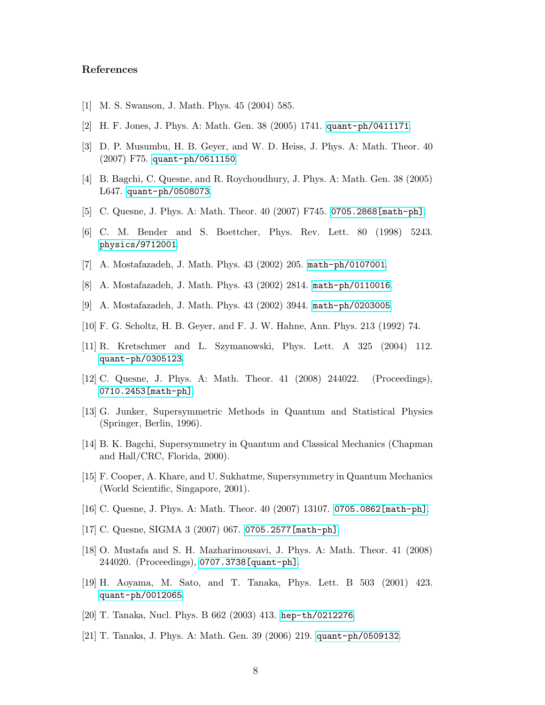### <span id="page-7-0"></span>References

- <span id="page-7-1"></span>[1] M. S. Swanson, J. Math. Phys. 45 (2004) 585.
- <span id="page-7-2"></span>[2] H. F. Jones, J. Phys. A: Math. Gen. 38 (2005) 1741. <quant-ph/0411171>.
- <span id="page-7-3"></span>[3] D. P. Musumbu, H. B. Geyer, and W. D. Heiss, J. Phys. A: Math. Theor. 40 (2007) F75. <quant-ph/0611150>.
- <span id="page-7-4"></span>[4] B. Bagchi, C. Quesne, and R. Roychoudhury, J. Phys. A: Math. Gen. 38 (2005) L647. <quant-ph/0508073>.
- <span id="page-7-5"></span>[5] C. Quesne, J. Phys. A: Math. Theor. 40 (2007) F745. [0705.2868\[math-ph\]](0705.2868[math-ph]).
- <span id="page-7-6"></span>[6] C. M. Bender and S. Boettcher, Phys. Rev. Lett. 80 (1998) 5243. <physics/9712001>.
- <span id="page-7-7"></span>[7] A. Mostafazadeh, J. Math. Phys. 43 (2002) 205. <math-ph/0107001>.
- <span id="page-7-8"></span>[8] A. Mostafazadeh, J. Math. Phys. 43 (2002) 2814. <math-ph/0110016>.
- <span id="page-7-9"></span>[9] A. Mostafazadeh, J. Math. Phys. 43 (2002) 3944. <math-ph/0203005>.
- <span id="page-7-10"></span>[10] F. G. Scholtz, H. B. Geyer, and F. J. W. Hahne, Ann. Phys. 213 (1992) 74.
- <span id="page-7-11"></span>[11] R. Kretschmer and L. Szymanowski, Phys. Lett. A 325 (2004) 112. <quant-ph/0305123>.
- <span id="page-7-12"></span>[12] C. Quesne, J. Phys. A: Math. Theor. 41 (2008) 244022. (Proceedings), [0710.2453\[math-ph\]](0710.2453[math-ph]).
- [13] G. Junker, Supersymmetric Methods in Quantum and Statistical Physics (Springer, Berlin, 1996).
- <span id="page-7-14"></span><span id="page-7-13"></span>[14] B. K. Bagchi, Supersymmetry in Quantum and Classical Mechanics (Chapman and Hall/CRC, Florida, 2000).
- [15] F. Cooper, A. Khare, and U. Sukhatme, Supersymmetry in Quantum Mechanics (World Scientific, Singapore, 2001).
- <span id="page-7-16"></span><span id="page-7-15"></span>[16] C. Quesne, J. Phys. A: Math. Theor. 40 (2007) 13107. [0705.0862\[math-ph\]](0705.0862[math-ph]).
- <span id="page-7-17"></span>[17] C. Quesne, SIGMA 3 (2007) 067. [0705.2577\[math-ph\]](0705.2577[math-ph]).
- [18] O. Mustafa and S. H. Mazharimousavi, J. Phys. A: Math. Theor. 41 (2008) 244020. (Proceedings), [0707.3738\[quant-ph\]](0707.3738[quant-ph]).
- <span id="page-7-18"></span>[19] H. Aoyama, M. Sato, and T. Tanaka, Phys. Lett. B 503 (2001) 423. <quant-ph/0012065>.
- <span id="page-7-20"></span><span id="page-7-19"></span>[20] T. Tanaka, Nucl. Phys. B 662 (2003) 413. <hep-th/0212276>.
- [21] T. Tanaka, J. Phys. A: Math. Gen. 39 (2006) 219. <quant-ph/0509132>.